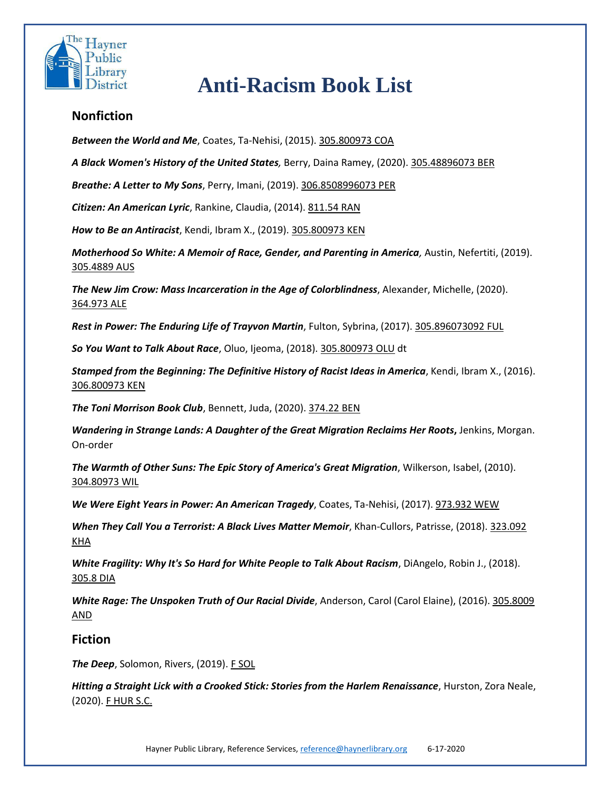

## **Anti-Racism Book List**

## **Nonfiction**

*Between the World and Me*, Coates, Ta-Nehisi, (2015). 305.800973 COA

*A Black Women's History of the United States,* Berry, Daina Ramey, (2020). 305.48896073 BER

*Breathe: A Letter to My Sons*, Perry, Imani, (2019). 306.8508996073 PER

*Citizen: An American Lyric*, Rankine, Claudia, (2014). 811.54 RAN

*How to Be an Antiracist*, Kendi, Ibram X., (2019). 305.800973 KEN

*Motherhood So White: A Memoir of Race, Gender, and Parenting in America,* Austin, Nefertiti, (2019). 305.4889 AUS

*The New Jim Crow: Mass Incarceration in the Age of Colorblindness*, Alexander, Michelle, (2020). 364.973 ALE

*Rest in Power: The Enduring Life of Trayvon Martin*, Fulton, Sybrina, (2017). 305.896073092 FUL

*So You Want to Talk About Race*, Oluo, Ijeoma, (2018). 305.800973 OLU dt

*Stamped from the Beginning: The Definitive History of Racist Ideas in America*, Kendi, Ibram X., (2016). 306.800973 KEN

*The Toni Morrison Book Club*, Bennett, Juda, (2020). 374.22 BEN

*Wandering in Strange Lands: A Daughter of the Great Migration Reclaims Her Roots***,** Jenkins, Morgan. On-order

*The Warmth of Other Suns: The Epic Story of America's Great Migration*, Wilkerson, Isabel, (2010). 304.80973 WIL

*We Were Eight Years in Power: An American Tragedy*, Coates, Ta-Nehisi, (2017). 973.932 WEW

*When They Call You a Terrorist: A Black Lives Matter Memoir*, Khan-Cullors, Patrisse, (2018). 323.092 KHA

*White Fragility: Why It's So Hard for White People to Talk About Racism*, DiAngelo, Robin J., (2018). 305.8 DIA

*White Rage: The Unspoken Truth of Our Racial Divide*, Anderson, Carol (Carol Elaine), (2016). 305.8009 AND

## **Fiction**

**The Deep**, Solomon, Rivers, (2019). F SOL

*Hitting a Straight Lick with a Crooked Stick: Stories from the Harlem Renaissance*, Hurston, Zora Neale, (2020). F HUR S.C.